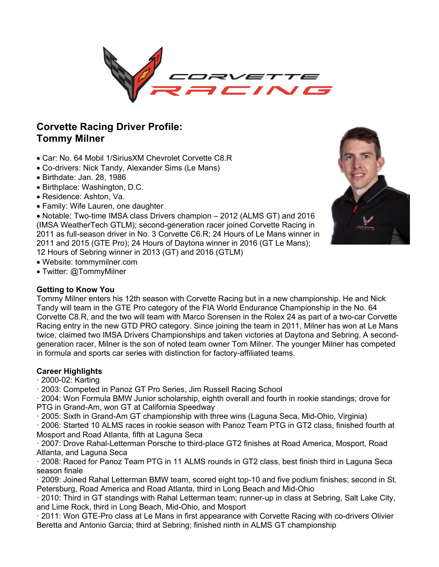

# **Corvette Racing Driver Profile: Tommy Milner**

- Car: No. 64 Mobil 1/SiriusXM Chevrolet Corvette C8.R
- Co-drivers: Nick Tandy, Alexander Sims (Le Mans)
- Birthdate: Jan. 28, 1986
- Birthplace: Washington, D.C.
- Residence: Ashton, Va.
- Family: Wife Lauren, one daughter

• Notable: Two-time IMSA class Drivers champion – 2012 (ALMS GT) and 2016 (IMSA WeatherTech GTLM); second-generation racer joined Corvette Racing in 2011 as full-season driver in No. 3 Corvette C6.R; 24 Hours of Le Mans winner in 2011 and 2015 (GTE Pro); 24 Hours of Daytona winner in 2016 (GT Le Mans); 12 Hours of Sebring winner in 2013 (GT) and 2016 (GTLM)

- Website: tommymilner.com
- Twitter: @TommyMilner

# **Getting to Know You**

Tommy Milner enters his 12th season with Corvette Racing but in a new championship. He and Nick Tandy will team in the GTE Pro category of the FIA World Endurance Championship in the No. 64 Corvette C8.R, and the two will team with Marco Sorensen in the Rolex 24 as part of a two-car Corvette Racing entry in the new GTD PRO category. Since joining the team in 2011, Milner has won at Le Mans twice, claimed two IMSA Drivers Championships and taken victories at Daytona and Sebring. A secondgeneration racer, Milner is the son of noted team owner Tom Milner. The younger Milner has competed in formula and sports car series with distinction for factory-affiliated teams.

# **Career Highlights**

- · 2000-02: Karting
- · 2003: Competed in Panoz GT Pro Series, Jim Russell Racing School

· 2004: Won Formula BMW Junior scholarship, eighth overall and fourth in rookie standings; drove for PTG in Grand-Am, won GT at California Speedway

· 2005: Sixth in Grand-Am GT championship with three wins (Laguna Seca, Mid-Ohio, Virginia)

· 2006: Started 10 ALMS races in rookie season with Panoz Team PTG in GT2 class, finished fourth at Mosport and Road Atlanta, fifth at Laguna Seca

· 2007: Drove Rahal-Letterman Porsche to third-place GT2 finishes at Road America, Mosport, Road Atlanta, and Laguna Seca

· 2008: Raced for Panoz Team PTG in 11 ALMS rounds in GT2 class, best finish third in Laguna Seca season finale

· 2009: Joined Rahal Letterman BMW team, scored eight top-10 and five podium finishes; second in St. Petersburg, Road America and Road Atlanta, third in Long Beach and Mid-Ohio

· 2010: Third in GT standings with Rahal Letterman team; runner-up in class at Sebring, Salt Lake City, and Lime Rock, third in Long Beach, Mid-Ohio, and Mosport

· 2011: Won GTE-Pro class at Le Mans in first appearance with Corvette Racing with co-drivers Olivier Beretta and Antonio Garcia; third at Sebring; finished ninth in ALMS GT championship

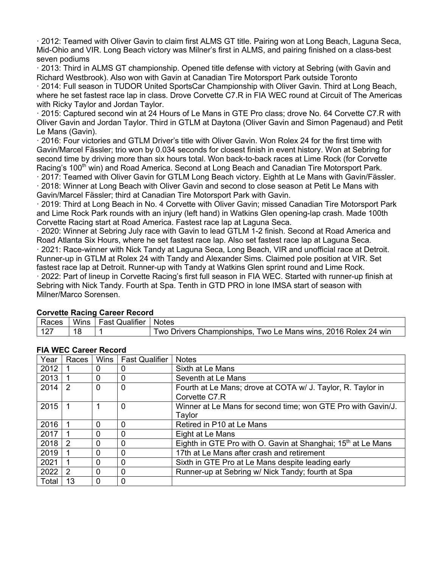· 2012: Teamed with Oliver Gavin to claim first ALMS GT title. Pairing won at Long Beach, Laguna Seca, Mid-Ohio and VIR. Long Beach victory was Milner's first in ALMS, and pairing finished on a class-best seven podiums

· 2013: Third in ALMS GT championship. Opened title defense with victory at Sebring (with Gavin and Richard Westbrook). Also won with Gavin at Canadian Tire Motorsport Park outside Toronto

· 2014: Full season in TUDOR United SportsCar Championship with Oliver Gavin. Third at Long Beach, where he set fastest race lap in class. Drove Corvette C7.R in FIA WEC round at Circuit of The Americas with Ricky Taylor and Jordan Taylor.

· 2015: Captured second win at 24 Hours of Le Mans in GTE Pro class; drove No. 64 Corvette C7.R with Oliver Gavin and Jordan Taylor. Third in GTLM at Daytona (Oliver Gavin and Simon Pagenaud) and Petit Le Mans (Gavin).

· 2016: Four victories and GTLM Driver's title with Oliver Gavin. Won Rolex 24 for the first time with Gavin/Marcel Fässler; trio won by 0.034 seconds for closest finish in event history. Won at Sebring for second time by driving more than six hours total. Won back-to-back races at Lime Rock (for Corvette Racing's 100<sup>th</sup> win) and Road America. Second at Long Beach and Canadian Tire Motorsport Park.

· 2017: Teamed with Oliver Gavin for GTLM Long Beach victory. Eighth at Le Mans with Gavin/Fässler. · 2018: Winner at Long Beach with Oliver Gavin and second to close season at Petit Le Mans with Gavin/Marcel Fässler; third at Canadian Tire Motorsport Park with Gavin.

· 2019: Third at Long Beach in No. 4 Corvette with Oliver Gavin; missed Canadian Tire Motorsport Park and Lime Rock Park rounds with an injury (left hand) in Watkins Glen opening-lap crash. Made 100th Corvette Racing start at Road America. Fastest race lap at Laguna Seca.

· 2020: Winner at Sebring July race with Gavin to lead GTLM 1-2 finish. Second at Road America and Road Atlanta Six Hours, where he set fastest race lap. Also set fastest race lap at Laguna Seca. · 2021: Race-winner with Nick Tandy at Laguna Seca, Long Beach, VIR and unofficial race at Detroit. Runner-up in GTLM at Rolex 24 with Tandy and Alexander Sims. Claimed pole position at VIR. Set fastest race lap at Detroit. Runner-up with Tandy at Watkins Glen sprint round and Lime Rock.

· 2022: Part of lineup in Corvette Racing's first full season in FIA WEC. Started with runner-up finish at Sebring with Nick Tandy. Fourth at Spa. Tenth in GTD PRO in lone IMSA start of season with Milner/Marco Sorensen.

| Races | <b>Wins</b> | <b>Fast Qualifier</b> | <b>Notes</b>                                                      |
|-------|-------------|-----------------------|-------------------------------------------------------------------|
| 127   |             |                       | Two Drivers Championships,<br>Two Le Mans wins, 2016 Rolex 24 win |

**Corvette Racing Career Record**

**FIA WEC Career Record**

| Year  | Races         | Wins         | <b>Fast Qualifier</b> | <b>Notes</b>                                                             |  |
|-------|---------------|--------------|-----------------------|--------------------------------------------------------------------------|--|
| 2012  |               | 0            |                       | Sixth at Le Mans                                                         |  |
| 2013  |               | 0            | $\mathbf 0$           | Seventh at Le Mans                                                       |  |
| 2014  | 2             | 0            | $\mathbf 0$           | Fourth at Le Mans; drove at COTA w/ J. Taylor, R. Taylor in              |  |
|       |               |              |                       | Corvette C7.R                                                            |  |
| 2015  |               |              | $\Omega$              | Winner at Le Mans for second time; won GTE Pro with Gavin/J.             |  |
|       |               |              |                       | Taylor                                                                   |  |
| 2016  |               | 0            | 0                     | Retired in P10 at Le Mans                                                |  |
| 2017  |               | 0            | 0                     | Eight at Le Mans                                                         |  |
| 2018  | $\mathcal{P}$ | 0            | 0                     | Eighth in GTE Pro with O. Gavin at Shanghai; 15 <sup>th</sup> at Le Mans |  |
| 2019  |               | 0            | 0                     | 17th at Le Mans after crash and retirement                               |  |
| 2021  |               | 0            | 0                     | Sixth in GTE Pro at Le Mans despite leading early                        |  |
| 2022  | 2             | 0            | 0                     | Runner-up at Sebring w/ Nick Tandy; fourth at Spa                        |  |
| Total | 13            | $\mathbf{0}$ | 0                     |                                                                          |  |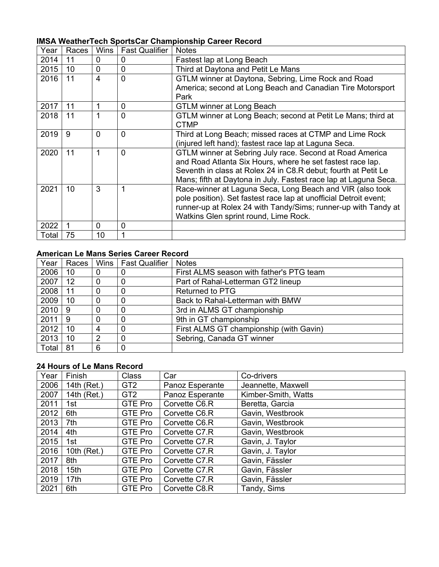| Year  | Races | Wins           | <b>Fast Qualifier</b>                                                 | <b>Notes</b>                                                      |  |
|-------|-------|----------------|-----------------------------------------------------------------------|-------------------------------------------------------------------|--|
| 2014  | 11    | $\Omega$       | 0                                                                     | Fastest lap at Long Beach                                         |  |
| 2015  | 10    | $\overline{0}$ | 0                                                                     | Third at Daytona and Petit Le Mans                                |  |
| 2016  | 11    | 4              | $\overline{0}$<br>GTLM winner at Daytona, Sebring, Lime Rock and Road |                                                                   |  |
|       |       |                |                                                                       | America; second at Long Beach and Canadian Tire Motorsport        |  |
|       |       |                |                                                                       | Park                                                              |  |
| 2017  | 11    | 1              | 0                                                                     | <b>GTLM winner at Long Beach</b>                                  |  |
| 2018  | 11    | 1              | $\overline{0}$                                                        | GTLM winner at Long Beach; second at Petit Le Mans; third at      |  |
|       |       |                |                                                                       | <b>CTMP</b>                                                       |  |
| 2019  | 9     | $\overline{0}$ | $\mathbf{0}$                                                          | Third at Long Beach; missed races at CTMP and Lime Rock           |  |
|       |       |                |                                                                       | (injured left hand); fastest race lap at Laguna Seca.             |  |
| 2020  | 11    | 1              | $\mathbf{0}$                                                          | GTLM winner at Sebring July race. Second at Road America          |  |
|       |       |                |                                                                       | and Road Atlanta Six Hours, where he set fastest race lap.        |  |
|       |       |                |                                                                       | Seventh in class at Rolex 24 in C8.R debut; fourth at Petit Le    |  |
|       |       |                |                                                                       | Mans; fifth at Daytona in July. Fastest race lap at Laguna Seca.  |  |
| 2021  | 10    | 3              | 1                                                                     | Race-winner at Laguna Seca, Long Beach and VIR (also took         |  |
|       |       |                |                                                                       | pole position). Set fastest race lap at unofficial Detroit event; |  |
|       |       |                |                                                                       | runner-up at Rolex 24 with Tandy/Sims; runner-up with Tandy at    |  |
|       |       |                |                                                                       | Watkins Glen sprint round, Lime Rock.                             |  |
| 2022  |       | 0              | $\overline{0}$                                                        |                                                                   |  |
| Total | 75    | 10             |                                                                       |                                                                   |  |

# **IMSA WeatherTech SportsCar Championship Career Record**

### **American Le Mans Series Career Record**

| Year  | Races |   | Wins   Fast Qualifier | <b>Notes</b>                             |
|-------|-------|---|-----------------------|------------------------------------------|
| 2006  | 10    | 0 |                       | First ALMS season with father's PTG team |
| 2007  | 12    | 0 |                       | Part of Rahal-Letterman GT2 lineup       |
| 2008  | 11    | 0 |                       | <b>Returned to PTG</b>                   |
| 2009  | 10    | 0 |                       | Back to Rahal-Letterman with BMW         |
| 2010  | 9     | 0 |                       | 3rd in ALMS GT championship              |
| 2011  | 9     | 0 |                       | 9th in GT championship                   |
| 2012  | 10    | 4 |                       | First ALMS GT championship (with Gavin)  |
| 2013  | 10    | 2 |                       | Sebring, Canada GT winner                |
| Total | 81    | 6 | 0                     |                                          |

### **24 Hours of Le Mans Record**

| Year | Finish           | <b>Class</b>    | Car             | Co-drivers          |
|------|------------------|-----------------|-----------------|---------------------|
| 2006 | 14th (Ret.)      | GT <sub>2</sub> | Panoz Esperante | Jeannette, Maxwell  |
| 2007 | 14th (Ret.)      | GT <sub>2</sub> | Panoz Esperante | Kimber-Smith, Watts |
| 2011 | 1st              | GTE Pro         | Corvette C6.R   | Beretta, Garcia     |
| 2012 | 6th              | GTE Pro         | Corvette C6.R   | Gavin, Westbrook    |
| 2013 | 7th              | GTE Pro         | Corvette C6.R   | Gavin, Westbrook    |
| 2014 | 4th              | GTE Pro         | Corvette C7.R   | Gavin, Westbrook    |
| 2015 | 1st              | <b>GTE Pro</b>  | Corvette C7.R   | Gavin, J. Taylor    |
| 2016 | 10th $(Ret.)$    | GTE Pro         | Corvette C7.R   | Gavin, J. Taylor    |
| 2017 | 8th              | GTE Pro         | Corvette C7.R   | Gavin, Fässler      |
| 2018 | 15 <sub>th</sub> | <b>GTE Pro</b>  | Corvette C7.R   | Gavin, Fässler      |
| 2019 | 17 <sub>th</sub> | GTE Pro         | Corvette C7.R   | Gavin, Fässler      |
| 2021 | 6th              | GTE Pro         | Corvette C8.R   | Tandy, Sims         |